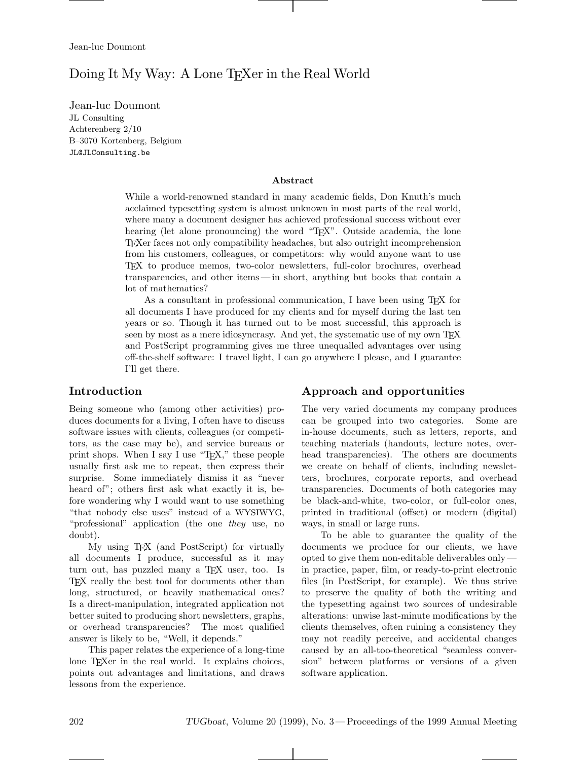# Doing It My Way: A Lone T<sub>E</sub>Xer in the Real World

Jean-luc Doumont JL Consulting<br>Achterenberg 2/10 B-3070 Kortenberg, Belgium JL@JLConsulting.be  $\overline{\phantom{a}}$ 

#### **Abstract**

While a world-renowned standard in many academic fields, Don Knuth's much acclaimed typesetting system is almost unknown in most parts of the real world, where many a document designer has achieved professional success without ever hearing (let alone pronouncing) the word "TEX". Outside academia, the lone TEXer faces not only compatibility headaches, but also outright incomprehension from his customers, colleagues, or competitors: why would anyone want to use TEX to produce memos, two-color newsletters, full-color brochures, overhead transparencies, and other items — in short, anything but books that contain a lot of mathematics?

As a consultant in professional communication, I have been using TEX for all documents I have produced for my clients and for myself during the last ten years or so. Though it has turned out to be most successful, this approach is seen by most as a mere idiosyncrasy. And yet, the systematic use of my own TEX and PostScript programming gives me three unequalled advantages over using off-the-shelf software: I travel light, I can go anywhere I please, and I guarantee I'll get there.

## **Introduction**

Being someone who (among other activities) produces documents for a living, I often have to discuss software issues with clients, colleagues (or competitors, as the case may be), and service bureaus or print shops. When I say I use "T<sub>E</sub>X," these people usually first ask me to repeat, then express their surprise. Some immediately dismiss it as "never heard of"; others first ask what exactly it is, before wondering why I would want to use something "that nobody else uses" instead of a WYSIWYG, "professional" application (the one *they* use, no doubt).

My using TEX (and PostScript) for virtually all documents I produce, successful as it may turn out, has puzzled many a TEX user, too. Is TEX really the best tool for documents other than long, structured, or heavily mathematical ones? Is a direct-manipulation, integrated application not better suited to producing short newsletters, graphs, or overhead transparencies? The most qualified answer is likely to be, "Well, it depends."

This paper relates the experience of a long-time lone TEXer in the real world. It explains choices, points out advantages and limitations, and draws lessons from the experience.

## **Approach and opportunities**

The very varied documents my company produces can be grouped into two categories. Some are in-house documents, such as letters, reports, and teaching materials (handouts, lecture notes, overhead transparencies). The others are documents we create on behalf of clients, including newsletters, brochures, corporate reports, and overhead transparencies. Documents of both categories may be black-and-white, two-color, or full-color ones, printed in traditional (offset) or modern (digital) ways, in small or large runs.

To be able to guarantee the quality of the documents we produce for our clients, we have opted to give them non-editable deliverables only in practice, paper, film, or ready-to-print electronic files (in PostScript, for example). We thus strive to preserve the quality of both the writing and the typesetting against two sources of undesirable alterations: unwise last-minute modifications by the clients themselves, often ruining a consistency they may not readily perceive, and accidental changes caused by an all-too-theoretical "seamless conversion" between platforms or versions of a given software application.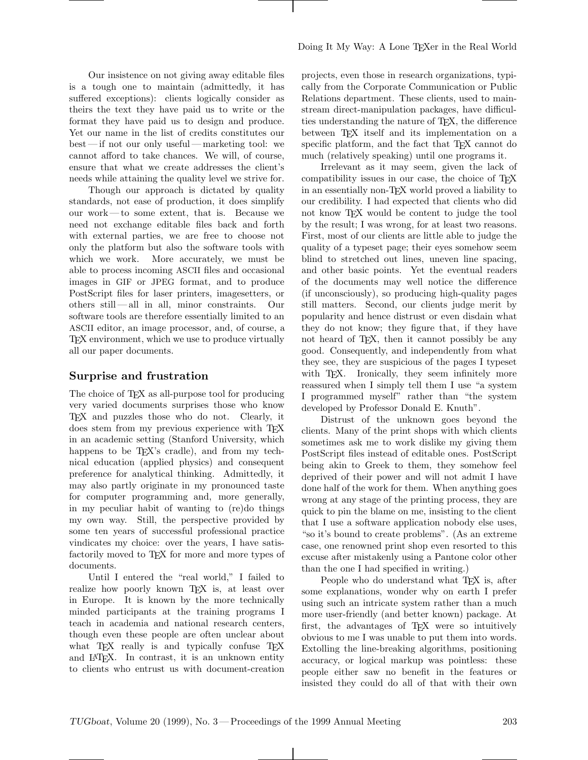Our insistence on not giving away editable files is a tough one to maintain (admittedly, it has suffered exceptions): clients logically consider as theirs the text they have paid us to write or the format they have paid us to design and produce. Yet our name in the list of credits constitutes our best— if not our only useful — marketing tool: we cannot afford to take chances. We will, of course, ensure that what we create addresses the client's needs while attaining the quality level we strive for.

Though our approach is dictated by quality standards, not ease of production, it does simplify our work— to some extent, that is. Because we need not exchange editable files back and forth with external parties, we are free to choose not only the platform but also the software tools with which we work. More accurately, we must be able to process incoming ASCII files and occasional images in GIF or JPEG format, and to produce PostScript files for laser printers, imagesetters, or others still — all in all, minor constraints. Our software tools are therefore essentially limited to an ASCII editor, an image processor, and, of course, a TEX environment, which we use to produce virtually all our paper documents.

## **Surprise and frustration**

The choice of T<sub>F</sub>X as all-purpose tool for producing very varied documents surprises those who know TEX and puzzles those who do not. Clearly, it does stem from my previous experience with TFX in an academic setting (Stanford University, which happens to be T<sub>EX</sub>'s cradle), and from my technical education (applied physics) and consequent preference for analytical thinking. Admittedly, it may also partly originate in my pronounced taste for computer programming and, more generally, in my peculiar habit of wanting to (re)do things my own way. Still, the perspective provided by some ten years of successful professional practice vindicates my choice: over the years, I have satisfactorily moved to TEX for more and more types of documents.

Until I entered the "real world," I failed to realize how poorly known TFX is, at least over in Europe. It is known by the more technically minded participants at the training programs I teach in academia and national research centers, though even these people are often unclear about what TEX really is and typically confuse TEX and LATEX. In contrast, it is an unknown entity to clients who entrust us with document-creation projects, even those in research organizations, typically from the Corporate Communication or Public Relations department. These clients, used to mainstream direct-manipulation packages, have difficulties understanding the nature of TEX, the difference between T<sub>EX</sub> itself and its implementation on a specific platform, and the fact that T<sub>EX</sub> cannot do much (relatively speaking) until one programs it.

Irrelevant as it may seem, given the lack of compatibility issues in our case, the choice of TEX in an essentially non-TEX world proved a liability to our credibility. I had expected that clients who did not know T<sub>E</sub>X would be content to judge the tool by the result; I was wrong, for at least two reasons. First, most of our clients are little able to judge the quality of a typeset page; their eyes somehow seem blind to stretched out lines, uneven line spacing, and other basic points. Yet the eventual readers of the documents may well notice the difference (if unconsciously), so producing high-quality pages still matters. Second, our clients judge merit by popularity and hence distrust or even disdain what they do not know; they figure that, if they have not heard of T<sub>E</sub>X, then it cannot possibly be any good. Consequently, and independently from what they see, they are suspicious of the pages I typeset with T<sub>E</sub>X. Ironically, they seem infinitely more reassured when I simply tell them I use "a system I programmed myself" rather than "the system developed by Professor Donald E. Knuth".

Distrust of the unknown goes beyond the clients. Many of the print shops with which clients sometimes ask me to work dislike my giving them PostScript files instead of editable ones. PostScript being akin to Greek to them, they somehow feel deprived of their power and will not admit I have done half of the work for them. When anything goes wrong at any stage of the printing process, they are quick to pin the blame on me, insisting to the client that I use a software application nobody else uses, "so it's bound to create problems". (As an extreme case, one renowned print shop even resorted to this excuse after mistakenly using a Pantone color other than the one I had specified in writing.)

People who do understand what TEX is, after some explanations, wonder why on earth I prefer using such an intricate system rather than a much more user-friendly (and better known) package. At first, the advantages of TEX were so intuitively obvious to me I was unable to put them into words. Extolling the line-breaking algorithms, positioning accuracy, or logical markup was pointless: these people either saw no benefit in the features or insisted they could do all of that with their own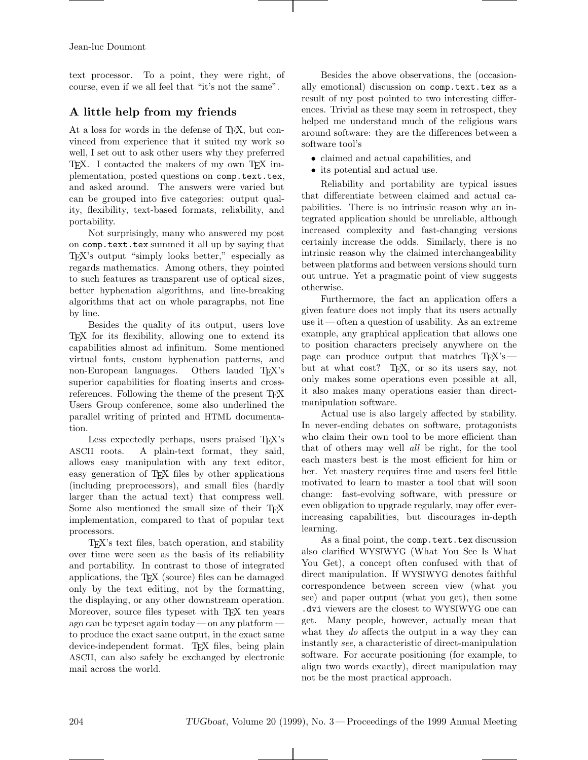text processor. To a point, they were right, of course, even if we all feel that "it's not the same".

## **A little help from my friends**

At a loss for words in the defense of TEX, but convinced from experience that it suited my work so well, I set out to ask other users why they preferred TEX. I contacted the makers of my own TEX implementation, posted questions on comp.text.tex, and asked around. The answers were varied but can be grouped into five categories: output quality, flexibility, text-based formats, reliability, and portability.

Not surprisingly, many who answered my post on comp.text.tex summed it all up by saying that TEX's output "simply looks better," especially as regards mathematics. Among others, they pointed to such features as transparent use of optical sizes, better hyphenation algorithms, and line-breaking algorithms that act on whole paragraphs, not line by line.

Besides the quality of its output, users love TEX for its flexibility, allowing one to extend its capabilities almost ad infinitum. Some mentioned virtual fonts, custom hyphenation patterns, and non-European languages. Others lauded T<sub>EX</sub>'s superior capabilities for floating inserts and crossreferences. Following the theme of the present T<sub>E</sub>X Users Group conference, some also underlined the parallel writing of printed and HTML documentation.

Less expectedly perhaps, users praised T<sub>EX</sub>'s ASCII roots. A plain-text format, they said, allows easy manipulation with any text editor, easy generation of TEX files by other applications (including preprocessors), and small files (hardly larger than the actual text) that compress well. Some also mentioned the small size of their TFX implementation, compared to that of popular text processors.

TEX's text files, batch operation, and stability over time were seen as the basis of its reliability and portability. In contrast to those of integrated applications, the TEX (source) files can be damaged only by the text editing, not by the formatting, the displaying, or any other downstream operation. Moreover, source files typeset with T<sub>E</sub>X ten years ago can be typeset again today— on any platform to produce the exact same output, in the exact same device-independent format. T<sub>EX</sub> files, being plain ASCII, can also safely be exchanged by electronic mail across the world.

Besides the above observations, the (occasionally emotional) discussion on comp.text.tex as a result of my post pointed to two interesting differences. Trivial as these may seem in retrospect, they helped me understand much of the religious wars around software: they are the differences between a software tool's

- claimed and actual capabilities, and
- its potential and actual use.

Reliability and portability are typical issues that differentiate between claimed and actual capabilities. There is no intrinsic reason why an integrated application should be unreliable, although increased complexity and fast-changing versions certainly increase the odds. Similarly, there is no intrinsic reason why the claimed interchangeability between platforms and between versions should turn out untrue. Yet a pragmatic point of view suggests otherwise.

Furthermore, the fact an application offers a given feature does not imply that its users actually use it— often a question of usability. As an extreme example, any graphical application that allows one to position characters precisely anywhere on the page can produce output that matches  $T_F X's$ but at what cost? TEX, or so its users say, not only makes some operations even possible at all, it also makes many operations easier than directmanipulation software.

Actual use is also largely affected by stability. In never-ending debates on software, protagonists who claim their own tool to be more efficient than that of others may well *all* be right, for the tool each masters best is the most efficient for him or her. Yet mastery requires time and users feel little motivated to learn to master a tool that will soon change: fast-evolving software, with pressure or even obligation to upgrade regularly, may offer everincreasing capabilities, but discourages in-depth learning.

As a final point, the comp.text.tex discussion also clarified WYSIWYG (What You See Is What You Get), a concept often confused with that of direct manipulation. If WYSIWYG denotes faithful correspondence between screen view (what you see) and paper output (what you get), then some .dvi viewers are the closest to WYSIWYG one can get. Many people, however, actually mean that what they *do* affects the output in a way they can instantly *see*, a characteristic of direct-manipulation software. For accurate positioning (for example, to align two words exactly), direct manipulation may not be the most practical approach.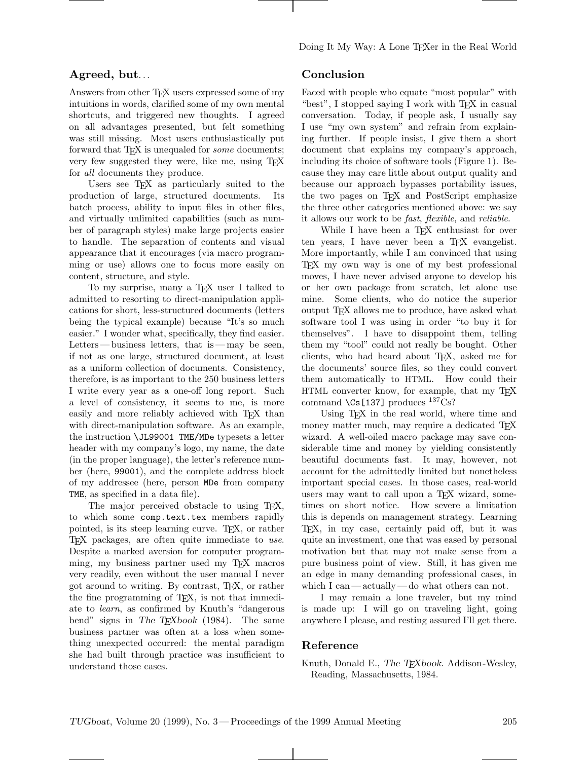## **Agreed, but**...

Answers from other T<sub>E</sub>X users expressed some of my intuitions in words, clarified some of my own mental shortcuts, and triggered new thoughts. I agreed on all advantages presented, but felt something was still missing. Most users enthusiastically put forward that TEX is unequaled for *some* documents; very few suggested they were, like me, using TEX for *all* documents they produce.

Users see T<sub>EX</sub> as particularly suited to the production of large, structured documents. Its batch process, ability to input files in other files, and virtually unlimited capabilities (such as number of paragraph styles) make large projects easier to handle. The separation of contents and visual appearance that it encourages (via macro programming or use) allows one to focus more easily on content, structure, and style.

To my surprise, many a T<sub>E</sub>X user I talked to admitted to resorting to direct-manipulation applications for short, less-structured documents (letters being the typical example) because "It's so much easier." I wonder what, specifically, they find easier. Letters—business letters, that is — may be seen, if not as one large, structured document, at least as a uniform collection of documents. Consistency, therefore, is as important to the 250 business letters I write every year as a one-off long report. Such a level of consistency, it seems to me, is more easily and more reliably achieved with TEX than with direct-manipulation software. As an example, the instruction \JL99001 TME/MDe typesets a letter header with my company's logo, my name, the date (in the proper language), the letter's reference number (here, 99001), and the complete address block of my addressee (here, person MDe from company TME, as specified in a data file).

The major perceived obstacle to using TEX, to which some comp.text.tex members rapidly pointed, is its steep learning curve. TEX, or rather TEX packages, are often quite immediate to *use*. Despite a marked aversion for computer programming, my business partner used my TEX macros very readily, even without the user manual I never got around to writing. By contrast, TEX, or rather the fine programming of TEX, is not that immediate to *learn*, as confirmed by Knuth's "dangerous bend" signs in The T<sub>E</sub>Xbook (1984). The same business partner was often at a loss when something unexpected occurred: the mental paradigm she had built through practice was insufficient to understand those cases.

## **Conclusion**

Faced with people who equate "most popular" with "best", I stopped saying I work with TEX in casual conversation. Today, if people ask, I usually say I use "my own system" and refrain from explaining further. If people insist, I give them a short document that explains my company's approach, including its choice of software tools (Figure 1). Because they may care little about output quality and because our approach bypasses portability issues, the two pages on T<sub>EX</sub> and PostScript emphasize the three other categories mentioned above: we say it allows our work to be *fast*, *flexible*, and *reliable*.

While I have been a T<sub>E</sub>X enthusiast for over ten years, I have never been a TEX evangelist. More importantly, while I am convinced that using TEX my own way is one of my best professional moves, I have never advised anyone to develop his or her own package from scratch, let alone use mine. Some clients, who do notice the superior output TEX allows me to produce, have asked what software tool I was using in order "to buy it for themselves". I have to disappoint them, telling them my "tool" could not really be bought. Other clients, who had heard about TEX, asked me for the documents' source files, so they could convert them automatically to HTML. How could their HTML converter know, for example, that my TEX command  $\text{Cs}$  [137] produces  $^{137}\text{Cs}$ ?

Using TEX in the real world, where time and money matter much, may require a dedicated T<sub>E</sub>X wizard. A well-oiled macro package may save considerable time and money by yielding consistently beautiful documents fast. It may, however, not account for the admittedly limited but nonetheless important special cases. In those cases, real-world users may want to call upon a TEX wizard, sometimes on short notice. How severe a limitation this is depends on management strategy. Learning TEX, in my case, certainly paid off, but it was quite an investment, one that was eased by personal motivation but that may not make sense from a pure business point of view. Still, it has given me an edge in many demanding professional cases, in which I can— actually— do what others can not.

I may remain a lone traveler, but my mind is made up: I will go on traveling light, going anywhere I please, and resting assured I'll get there.

### **Reference**

Knuth, Donald E., The T<sub>E</sub>Xbook. Addison-Wesley, Reading, Massachusetts, 1984.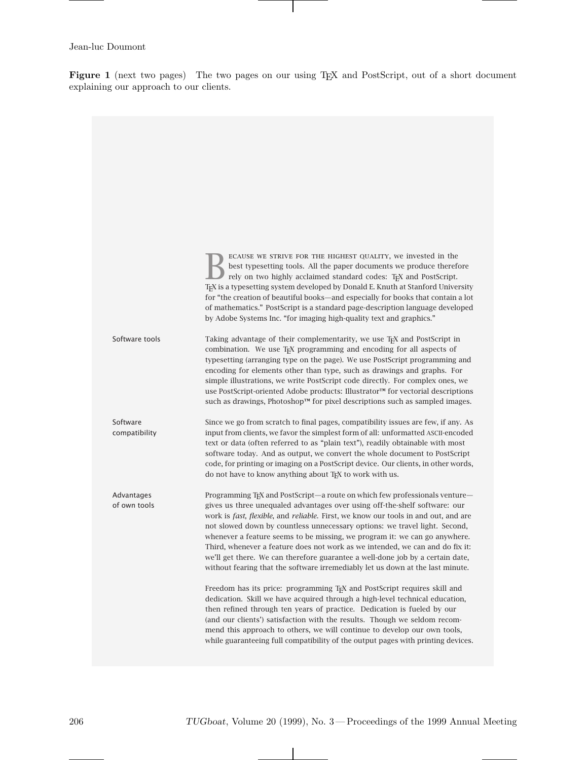**Figure 1** (next two pages) The two pages on our using TEX and PostScript, out of a short document explaining our approach to our clients.

|                            | ECAUSE WE STRIVE FOR THE HIGHEST QUALITY, we invested in the<br>best typesetting tools. All the paper documents we produce therefore<br>rely on two highly acclaimed standard codes: TEX and PostScript.<br>T <sub>F</sub> X is a typesetting system developed by Donald E. Knuth at Stanford University<br>for "the creation of beautiful books—and especially for books that contain a lot<br>of mathematics." PostScript is a standard page-description language developed<br>by Adobe Systems Inc. "for imaging high-quality text and graphics."                                                                                                                         |
|----------------------------|------------------------------------------------------------------------------------------------------------------------------------------------------------------------------------------------------------------------------------------------------------------------------------------------------------------------------------------------------------------------------------------------------------------------------------------------------------------------------------------------------------------------------------------------------------------------------------------------------------------------------------------------------------------------------|
| Software tools             | Taking advantage of their complementarity, we use T <sub>F</sub> X and PostScript in<br>combination. We use TFX programming and encoding for all aspects of<br>typesetting (arranging type on the page). We use PostScript programming and<br>encoding for elements other than type, such as drawings and graphs. For<br>simple illustrations, we write PostScript code directly. For complex ones, we<br>use PostScript-oriented Adobe products: Illustrator™ for vectorial descriptions<br>such as drawings, Photoshop™ for pixel descriptions such as sampled images.                                                                                                     |
| Software<br>compatibility  | Since we go from scratch to final pages, compatibility issues are few, if any. As<br>input from clients, we favor the simplest form of all: unformatted ASCII-encoded<br>text or data (often referred to as "plain text"), readily obtainable with most<br>software today. And as output, we convert the whole document to PostScript<br>code, for printing or imaging on a PostScript device. Our clients, in other words,<br>do not have to know anything about TEX to work with us.                                                                                                                                                                                       |
| Advantages<br>of own tools | Programming T <sub>F</sub> X and PostScript—a route on which few professionals venture—<br>gives us three unequaled advantages over using off-the-shelf software: our<br>work is fast, flexible, and reliable. First, we know our tools in and out, and are<br>not slowed down by countless unnecessary options: we travel light. Second,<br>whenever a feature seems to be missing, we program it: we can go anywhere.<br>Third, whenever a feature does not work as we intended, we can and do fix it:<br>we'll get there. We can therefore guarantee a well-done job by a certain date,<br>without fearing that the software irremediably let us down at the last minute. |
|                            | Freedom has its price: programming T <sub>F</sub> X and PostScript requires skill and<br>dedication. Skill we have acquired through a high-level technical education,<br>then refined through ten years of practice. Dedication is fueled by our<br>(and our clients') satisfaction with the results. Though we seldom recom-<br>mend this approach to others, we will continue to develop our own tools,<br>while guaranteeing full compatibility of the output pages with printing devices.                                                                                                                                                                                |